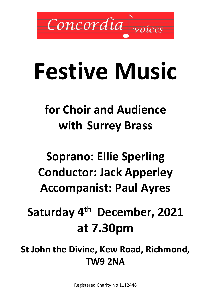

# **Festive Music**

## **for Choir and Audience with Surrey Brass**

## **Soprano: Ellie Sperling Conductor: Jack Apperley Accompanist: Paul Ayres**

## **Saturday 4 th December, 2021 at 7.30pm**

**St John the Divine, Kew Road, Richmond, TW9 2NA**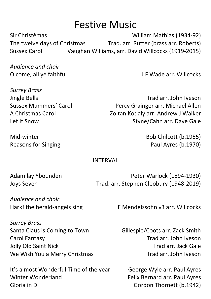## Festive Music

Sir Christèmas William Mathias (1934-92) The twelve days of Christmas Trad. arr. Rutter (brass arr. Roberts) Sussex Carol Vaughan Williams, arr. David Willcocks (1919-2015)

*Audience and choir*

*Surrey Brass*

O come, all ye faithful **D** Come, all ye faithful **J** F Wade arr. Willcocks

Jingle Bells Trad arr. John Iveson Sussex Mummers' Carol **Percy Grainger arr. Michael Allen** A Christmas Carol **Acker Accident Carol** Zoltan Kodaly arr. Andrew J Walker Let It Snow **Styne/Cahn arr. Dave Gale** 

Mid-winter Bob Chilcott (b.1955) Reasons for Singing **Paul Ayres (b.1970)** 

INTERVAL

Adam lay Ybounden **Peter Warlock (1894-1930)** Joys Seven Trad. arr. Stephen Cleobury (1948-2019)

*Audience and choir*

Hark! the herald-angels sing F Mendelssohn v3 arr. Willcocks

*Surrey Brass* Santa Claus is Coming to Town Gillespie/Coots arr. Zack Smith Carol Fantasy Trad arr. John Iveson Jolly Old Saint Nick Trad arr. Jack Gale We Wish You a Merry Christmas Trad arr. John Iveson

It's a most Wonderful Time of the year George Wyle arr. Paul Ayres Winter Wonderland **Felix Bernard arr. Paul Ayres** Gloria in D<br>
Gordon Thornett (b.1942)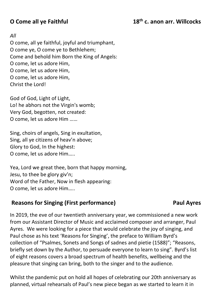#### **O Come all ye Faithful 18th c. anon arr. Willcocks**

#### *All*

O come, all ye faithful, joyful and triumphant, O come ye, O come ye to Bethlehem; Come and behold him Born the King of Angels: O come, let us adore Him, O come, let us adore Him, O come, let us adore Him, Christ the Lord!

God of God, Light of Light, Lo! he abhors not the Virgin's womb; Very God, begotten, not created: O come, let us adore Him ……

Sing, choirs of angels, Sing in exultation, Sing, all ye citizens of heav'n above; Glory to God, In the highest: O come, let us adore Him…..

Yea, Lord we great thee, born that happy morning, Jesu, to thee be glory giv'n; Word of the Father, Now in flesh appearing: O come, let us adore Him…..

### **Reasons for Singing (First performance) Paul Ayres**

In 2019, the eve of our twentieth anniversary year, we commissioned a new work from our Assistant Director of Music and acclaimed composer and arranger, Paul Ayres. We were looking for a piece that would celebrate the joy of singing, and Paul chose as his text 'Reasons for Singing', the preface to William Byrd's collection of "Psalmes, Sonets and Songs of sadnes and pietie (1588)"; "Reasons, briefly set down by the Author, to persuade everyone to learn to sing". Byrd's list of eight reasons covers a broad spectrum of health benefits, wellbeing and the pleasure that singing can bring, both to the singer and to the audience.

Whilst the pandemic put on hold all hopes of celebrating our 20th anniversary as planned, virtual rehearsals of Paul's new piece began as we started to learn it in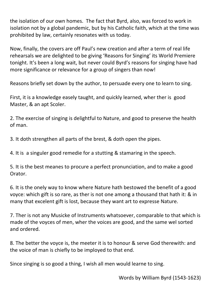the isolation of our own homes. The fact that Byrd, also, was forced to work in isolation not by a global pandemic, but by his Catholic faith, which at the time was prohibited by law, certainly resonates with us today.

Now, finally, the covers are off Paul's new creation and after a term of real life rehearsals we are delighted to be giving 'Reasons for Singing' its World Premiere tonight. It's been a long wait, but never could Byrd's reasons for singing have had more significance or relevance for a group of singers than now!

Reasons briefly set down by the author, to persuade every one to learn to sing.

First, it is a knowledge easely taught, and quickly learned, wher ther is good Master, & an apt Scoler.

2. The exercise of singing is delightful to Nature, and good to preserve the health of man.

3. It doth strengthen all parts of the brest, & doth open the pipes.

4. It is a singuler good remedie for a stutting & stamaring in the speech.

5. It is the best meanes to procure a perfect pronunciation, and to make a good Orator.

6. It is the onely way to know where Nature hath bestowed the benefit of a good voyce: which gift is so rare, as ther is not one among a thousand that hath it: & in many that excelent gift is lost, because they want art to expresse Nature.

7. Ther is not any Musicke of Instruments whatsoever, comparable to that which is made of the voyces of men, wher the voices are good, and the same wel sorted and ordered.

8. The better the voyce is, the meeter it is to honour & serve God therewith: and the voice of man is chiefly to be imployed to that end.

Since singing is so good a thing, I wish all men would learne to sing.

Words by William Byrd (1543-1623)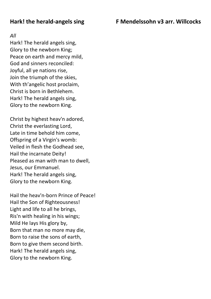#### **Hark! the herald-angels sing F Mendelssohn v3 arr. Willcocks**

#### *All*

Hark! The herald angels sing, Glory to the newborn King; Peace on earth and mercy mild, God and sinners reconciled: Joyful, all ye nations rise, Join the triumph of the skies, With th'angelic host proclaim, Christ is born in Bethlehem. Hark! The herald angels sing, Glory to the newborn King.

Christ by highest heav'n adored, Christ the everlasting Lord, Late in time behold him come, Offspring of a Virgin's womb: Veiled in flesh the Godhead see, Hail the incarnate Deity! Pleased as man with man to dwell, Jesus, our Emmanuel. Hark! The herald angels sing, Glory to the newborn King.

Hail the heav'n-born Prince of Peace! Hail the Son of Righteousness! Light and life to all he brings, Ris'n with healing in his wings; Mild He lays His glory by, Born that man no more may die, Born to raise the sons of earth, Born to give them second birth. Hark! The herald angels sing, Glory to the newborn King.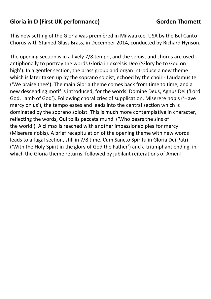### **Gloria in D (First UK performance) Gorden Thornett**

This new setting of the Gloria was premièred in Milwaukee, USA by the Bel Canto Chorus with Stained Glass Brass, in December 2014, conducted by Richard Hynson.

The opening section is in a lively 7/8 tempo, and the soloist and chorus are used antiphonally to portray the words Gloria in excelsis Deo ('Glory be to God on high'). In a gentler section, the brass group and organ introduce a new theme which is later taken up by the soprano soloist, echoed by the choir - Laudamus te ('We praise thee'). The main Gloria theme comes back from time to time, and a new descending motif is introduced, for the words. Domine Deus, Agnus Dei ('Lord God, Lamb of God'). Following choral cries of supplication, Miserere nobis ('Have mercy on us'), the tempo eases and leads into the central section which is dominated by the soprano soloist. This is much more contemplative in character, reflecting the words, Qui tollis peccata mundi ('Who bears the sins of the world'). A climax is reached with another impassioned plea for mercy (Miserere nobis). A brief recapitulation of the opening theme with new words leads to a fugal section, still in 7/8 time, Cum Sancto Spiritu in Gloria Dei Patri ('With the Holy Spirit in the glory of God the Father') and a triumphant ending, in which the Gloria theme returns, followed by jubilant reiterations of Amen!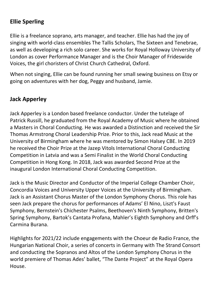### **Ellie Sperling**

Ellie is a freelance soprano, arts manager, and teacher. Ellie has had the joy of singing with world-class ensembles The Tallis Scholars, The Sixteen and Tenebrae, as well as developing a rich solo career. She works for Royal Holloway University of London as cover Performance Manager and is the Choir Manager of Frideswide Voices, the girl choristers of Christ Church Cathedral, Oxford.

When not singing, Ellie can be found running her small sewing business on Etsy or going on adventures with her dog, Peggy and husband, Jamie.

### **Jack Apperley**

Jack Apperley is a London based freelance conductor. Under the tutelage of Patrick Russill, he graduated from the Royal Academy of Music where he obtained a Masters in Choral Conducting. He was awarded a Distinction and received the Sir Thomas Armstrong Choral Leadership Prize. Prior to this, Jack read Music at the University of Birmingham where he was mentored by Simon Halsey CBE. In 2019 he received the Choir Prize at the Jazep Vitols International Choral Conducting Competition in Latvia and was a Semi Finalist in the World Choral Conducting Competition in Hong Kong. In 2018, Jack was awarded Second Prize at the inaugural London International Choral Conducting Competition.

Jack is the Music Director and Conductor of the Imperial College Chamber Choir, Concordia Voices and University Upper Voices at the University of Birmingham. Jack is an Assistant Chorus Master of the London Symphony Chorus. This role has seen Jack prepare the chorus for performances of Adams' El Nino, Liszt's Faust Symphony, Bernstein's Chichester Psalms, Beethoven's Ninth Symphony, Britten's Spring Symphony, Bartok's Cantata Profana, Mahler's Eighth Symphony and Orff's Carmina Burana.

Highlights for 2021/22 include engagements with the Choeur de Radio France, the Hungarian National Choir, a series of concerts in Germany with The Strand Consort and conducting the Sopranos and Altos of the London Symphony Chorus in the world premiere of Thomas Ades' ballet, "The Dante Project" at the Royal Opera House.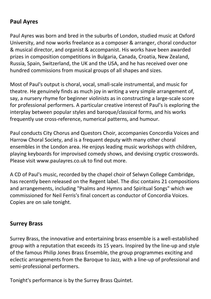#### **Paul Ayres**

Paul Ayres was born and bred in the suburbs of London, studied music at Oxford University, and now works freelance as a composer & arranger, choral conductor & musical director, and organist & accompanist. His works have been awarded prizes in composition competitions in Bulgaria, Canada, Croatia, New Zealand, Russia, Spain, Switzerland, the UK and the USA, and he has received over one hundred commissions from musical groups of all shapes and sizes.

Most of Paul's output is choral, vocal, small-scale instrumental, and music for theatre. He genuinely finds as much joy in writing a very simple arrangement of, say, a nursery rhyme for beginner violinists as in constructing a large-scale score for professional performers. A particular creative interest of Paul's is exploring the interplay between popular styles and baroque/classical forms, and his works frequently use cross-reference, numerical patterns, and humour.

Paul conducts City Chorus and Questors Choir, accompanies Concordia Voices and Harrow Choral Society, and is a frequent deputy with many other choral ensembles in the London area. He enjoys leading music workshops with children, playing keyboards for improvised comedy shows, and devising cryptic crosswords. Please visit [www.paulayres.co.uk](http://www.paulayres.co.uk/) to find out more.

A CD of Paul's music, recorded by the chapel choir of Selwyn College Cambridge, has recently been released on the Regent label. The disc contains 21 compositions and arrangements, including "Psalms and Hymns and Spiritual Songs" which we commissioned for Neil Ferris's final concert as conductor of Concordia Voices. Copies are on sale tonight.

#### **Surrey Brass**

Surrey Brass, the innovative and entertaining brass ensemble is a well-established group with a reputation that exceeds its 15 years. Inspired by the line-up and style of the famous Philip Jones Brass Ensemble, the group programmes exciting and eclectic arrangements from the Baroque to Jazz, with a line-up of professional and semi-professional performers.

Tonight's performance is by the Surrey Brass Quintet.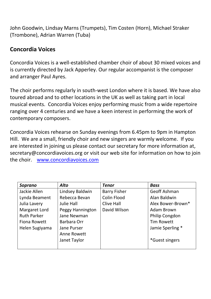John Goodwin, Lindsay Marns (Trumpets), Tim Costen (Horn), Michael Straker (Trombone), Adrian Warren (Tuba)

### **Concordia Voices**

Concordia Voices is a well-established chamber choir of about 30 mixed voices and is currently directed by Jack Apperley. Our regular accompanist is the composer and arranger Paul Ayres.

The choir performs regularly in south-west London where it is based. We have also toured abroad and to other locations in the UK as well as taking part in local musical events. Concordia Voices enjoy performing music from a wide repertoire ranging over 4 centuries and we have a keen interest in performing the work of contemporary composers.

Concordia Voices rehearse on Sunday evenings from 6.45pm to 9pm in Hampton Hill. We are a small, friendly choir and new singers are warmly welcome. If you are interested in joining us please contact our secretary for more information at, [secretary@concordiavoices.org](mailto:secretary@concordiavoices.org) or visit our web site for information on how to join the choir. [www.concordiavoices.com](http://www.concordiavoices.com/)

| Soprano             | <b>Alto</b>       | <b>Tenor</b>        | <b>Bass</b>       |
|---------------------|-------------------|---------------------|-------------------|
| Jackie Allen        | Lindsey Baldwin   | <b>Barry Fisher</b> | Geoff Ashman      |
| Lynda Beament       | Rebecca Bevan     | Colin Flood         | Alan Baldwin      |
| Julia Lavery        | <b>Julie Hall</b> | Clive Hall          | Alex Bower-Brown* |
| Margaret Lord       | Peggy Hannington  | David Wilson        | <b>Adam Brown</b> |
| <b>Ruth Parker</b>  | Jane Newman       |                     | Philip Congdon    |
| <b>Fiona Rowett</b> | Barbara Orr       |                     | <b>Tim Rowett</b> |
| Helen Sugiyama      | Jane Purser       |                     | Jamie Sperling *  |
|                     | Anne Rowett       |                     |                   |
|                     | Janet Taylor      |                     | *Guest singers    |
|                     |                   |                     |                   |